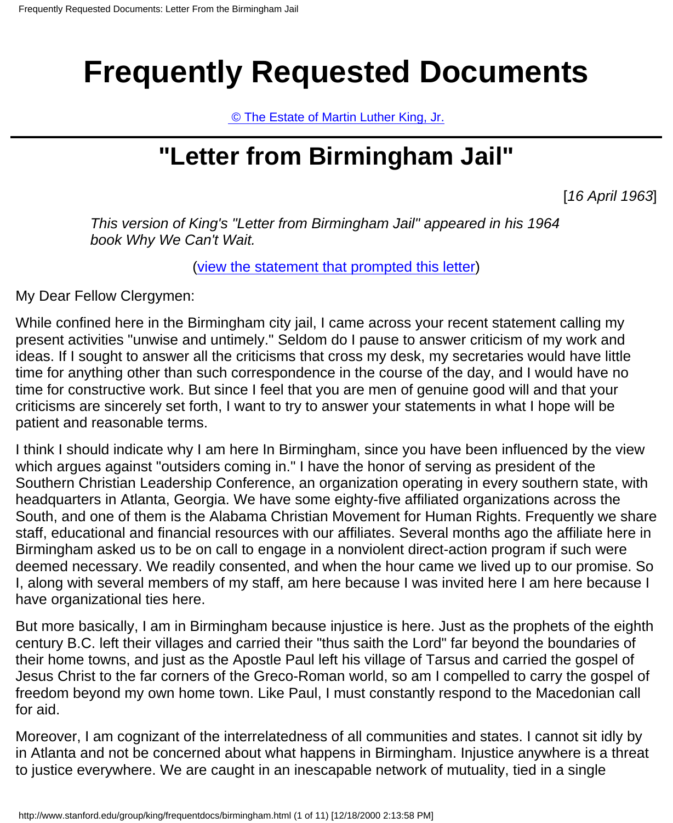# **Frequently Requested Documents**

 [© The Estate of Martin Luther King, Jr.](http://www.stanford.edu/group/king/copyright.htm)

## **"Letter from Birmingham Jail"**

[*16 April 1963*]

*This version of King's "Letter from Birmingham Jail" appeared in his 1964 book Why We Can't Wait.*

[\(view the statement that prompted this letter\)](http://www.stanford.edu/group/king/frequentdocs/clergy.pdf)

My Dear Fellow Clergymen:

While confined here in the Birmingham city jail, I came across your recent statement calling my present activities "unwise and untimely." Seldom do I pause to answer criticism of my work and ideas. If I sought to answer all the criticisms that cross my desk, my secretaries would have little time for anything other than such correspondence in the course of the day, and I would have no time for constructive work. But since I feel that you are men of genuine good will and that your criticisms are sincerely set forth, I want to try to answer your statements in what I hope will be patient and reasonable terms.

I think I should indicate why I am here In Birmingham, since you have been influenced by the view which argues against "outsiders coming in." I have the honor of serving as president of the Southern Christian Leadership Conference, an organization operating in every southern state, with headquarters in Atlanta, Georgia. We have some eighty-five affiliated organizations across the South, and one of them is the Alabama Christian Movement for Human Rights. Frequently we share staff, educational and financial resources with our affiliates. Several months ago the affiliate here in Birmingham asked us to be on call to engage in a nonviolent direct-action program if such were deemed necessary. We readily consented, and when the hour came we lived up to our promise. So I, along with several members of my staff, am here because I was invited here I am here because I have organizational ties here.

But more basically, I am in Birmingham because injustice is here. Just as the prophets of the eighth century B.C. left their villages and carried their "thus saith the Lord" far beyond the boundaries of their home towns, and just as the Apostle Paul left his village of Tarsus and carried the gospel of Jesus Christ to the far corners of the Greco-Roman world, so am I compelled to carry the gospel of freedom beyond my own home town. Like Paul, I must constantly respond to the Macedonian call for aid.

Moreover, I am cognizant of the interrelatedness of all communities and states. I cannot sit idly by in Atlanta and not be concerned about what happens in Birmingham. Injustice anywhere is a threat to justice everywhere. We are caught in an inescapable network of mutuality, tied in a single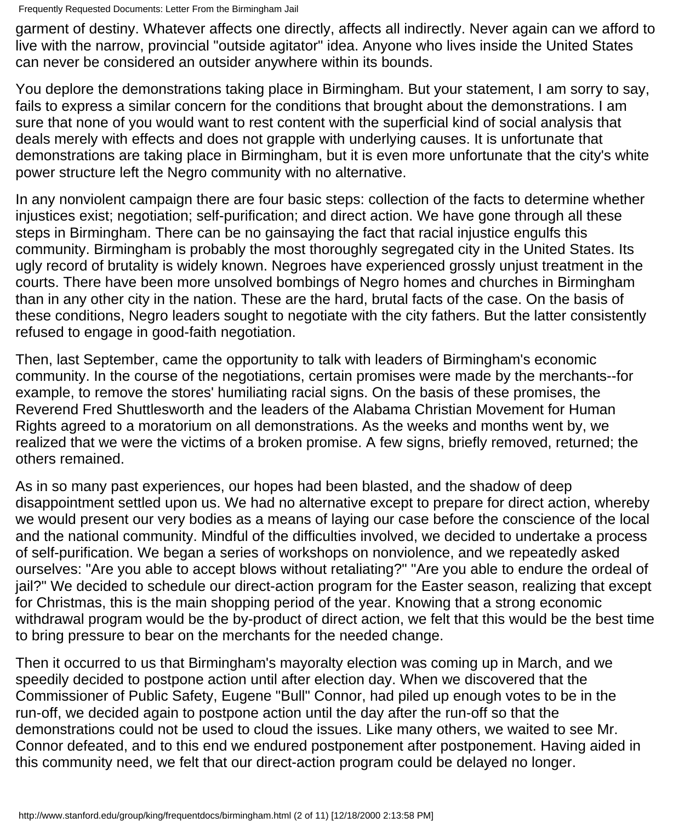Frequently Requested Documents: Letter From the Birmingham Jail

garment of destiny. Whatever affects one directly, affects all indirectly. Never again can we afford to live with the narrow, provincial "outside agitator" idea. Anyone who lives inside the United States can never be considered an outsider anywhere within its bounds.

You deplore the demonstrations taking place in Birmingham. But your statement, I am sorry to say, fails to express a similar concern for the conditions that brought about the demonstrations. I am sure that none of you would want to rest content with the superficial kind of social analysis that deals merely with effects and does not grapple with underlying causes. It is unfortunate that demonstrations are taking place in Birmingham, but it is even more unfortunate that the city's white power structure left the Negro community with no alternative.

In any nonviolent campaign there are four basic steps: collection of the facts to determine whether injustices exist; negotiation; self-purification; and direct action. We have gone through all these steps in Birmingham. There can be no gainsaying the fact that racial injustice engulfs this community. Birmingham is probably the most thoroughly segregated city in the United States. Its ugly record of brutality is widely known. Negroes have experienced grossly unjust treatment in the courts. There have been more unsolved bombings of Negro homes and churches in Birmingham than in any other city in the nation. These are the hard, brutal facts of the case. On the basis of these conditions, Negro leaders sought to negotiate with the city fathers. But the latter consistently refused to engage in good-faith negotiation.

Then, last September, came the opportunity to talk with leaders of Birmingham's economic community. In the course of the negotiations, certain promises were made by the merchants--for example, to remove the stores' humiliating racial signs. On the basis of these promises, the Reverend Fred Shuttlesworth and the leaders of the Alabama Christian Movement for Human Rights agreed to a moratorium on all demonstrations. As the weeks and months went by, we realized that we were the victims of a broken promise. A few signs, briefly removed, returned; the others remained.

As in so many past experiences, our hopes had been blasted, and the shadow of deep disappointment settled upon us. We had no alternative except to prepare for direct action, whereby we would present our very bodies as a means of laying our case before the conscience of the local and the national community. Mindful of the difficulties involved, we decided to undertake a process of self-purification. We began a series of workshops on nonviolence, and we repeatedly asked ourselves: "Are you able to accept blows without retaliating?" "Are you able to endure the ordeal of jail?" We decided to schedule our direct-action program for the Easter season, realizing that except for Christmas, this is the main shopping period of the year. Knowing that a strong economic withdrawal program would be the by-product of direct action, we felt that this would be the best time to bring pressure to bear on the merchants for the needed change.

Then it occurred to us that Birmingham's mayoralty election was coming up in March, and we speedily decided to postpone action until after election day. When we discovered that the Commissioner of Public Safety, Eugene "Bull" Connor, had piled up enough votes to be in the run-off, we decided again to postpone action until the day after the run-off so that the demonstrations could not be used to cloud the issues. Like many others, we waited to see Mr. Connor defeated, and to this end we endured postponement after postponement. Having aided in this community need, we felt that our direct-action program could be delayed no longer.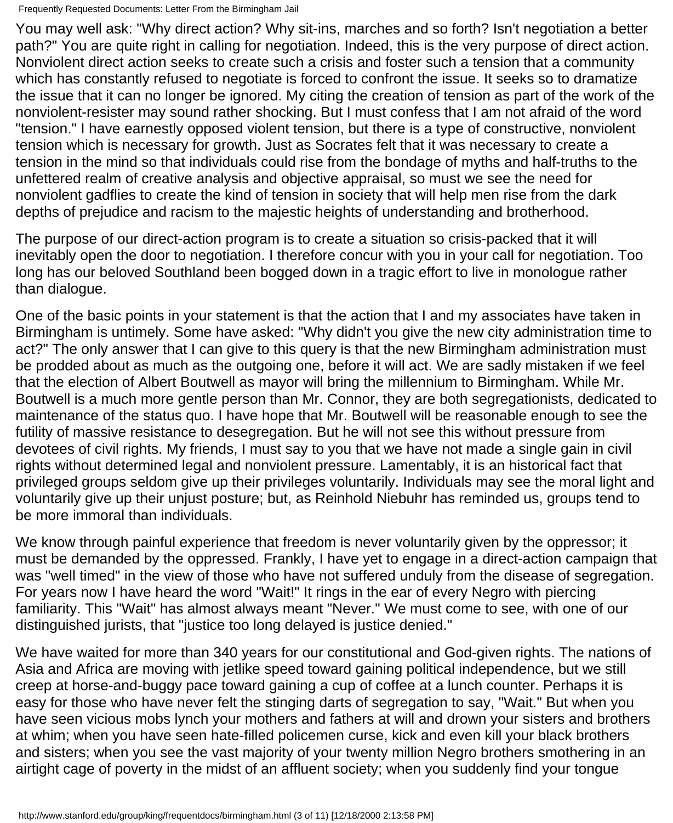You may well ask: "Why direct action? Why sit-ins, marches and so forth? Isn't negotiation a better path?" You are quite right in calling for negotiation. Indeed, this is the very purpose of direct action. Nonviolent direct action seeks to create such a crisis and foster such a tension that a community which has constantly refused to negotiate is forced to confront the issue. It seeks so to dramatize the issue that it can no longer be ignored. My citing the creation of tension as part of the work of the nonviolent-resister may sound rather shocking. But I must confess that I am not afraid of the word "tension." I have earnestly opposed violent tension, but there is a type of constructive, nonviolent tension which is necessary for growth. Just as Socrates felt that it was necessary to create a tension in the mind so that individuals could rise from the bondage of myths and half-truths to the unfettered realm of creative analysis and objective appraisal, so must we see the need for nonviolent gadflies to create the kind of tension in society that will help men rise from the dark depths of prejudice and racism to the majestic heights of understanding and brotherhood.

The purpose of our direct-action program is to create a situation so crisis-packed that it will inevitably open the door to negotiation. I therefore concur with you in your call for negotiation. Too long has our beloved Southland been bogged down in a tragic effort to live in monologue rather than dialogue.

One of the basic points in your statement is that the action that I and my associates have taken in Birmingham is untimely. Some have asked: "Why didn't you give the new city administration time to act?" The only answer that I can give to this query is that the new Birmingham administration must be prodded about as much as the outgoing one, before it will act. We are sadly mistaken if we feel that the election of Albert Boutwell as mayor will bring the millennium to Birmingham. While Mr. Boutwell is a much more gentle person than Mr. Connor, they are both segregationists, dedicated to maintenance of the status quo. I have hope that Mr. Boutwell will be reasonable enough to see the futility of massive resistance to desegregation. But he will not see this without pressure from devotees of civil rights. My friends, I must say to you that we have not made a single gain in civil rights without determined legal and nonviolent pressure. Lamentably, it is an historical fact that privileged groups seldom give up their privileges voluntarily. Individuals may see the moral light and voluntarily give up their unjust posture; but, as Reinhold Niebuhr has reminded us, groups tend to be more immoral than individuals.

We know through painful experience that freedom is never voluntarily given by the oppressor; it must be demanded by the oppressed. Frankly, I have yet to engage in a direct-action campaign that was "well timed" in the view of those who have not suffered unduly from the disease of segregation. For years now I have heard the word "Wait!" It rings in the ear of every Negro with piercing familiarity. This "Wait" has almost always meant "Never." We must come to see, with one of our distinguished jurists, that "justice too long delayed is justice denied."

We have waited for more than 340 years for our constitutional and God-given rights. The nations of Asia and Africa are moving with jetlike speed toward gaining political independence, but we still creep at horse-and-buggy pace toward gaining a cup of coffee at a lunch counter. Perhaps it is easy for those who have never felt the stinging darts of segregation to say, "Wait." But when you have seen vicious mobs lynch your mothers and fathers at will and drown your sisters and brothers at whim; when you have seen hate-filled policemen curse, kick and even kill your black brothers and sisters; when you see the vast majority of your twenty million Negro brothers smothering in an airtight cage of poverty in the midst of an affluent society; when you suddenly find your tongue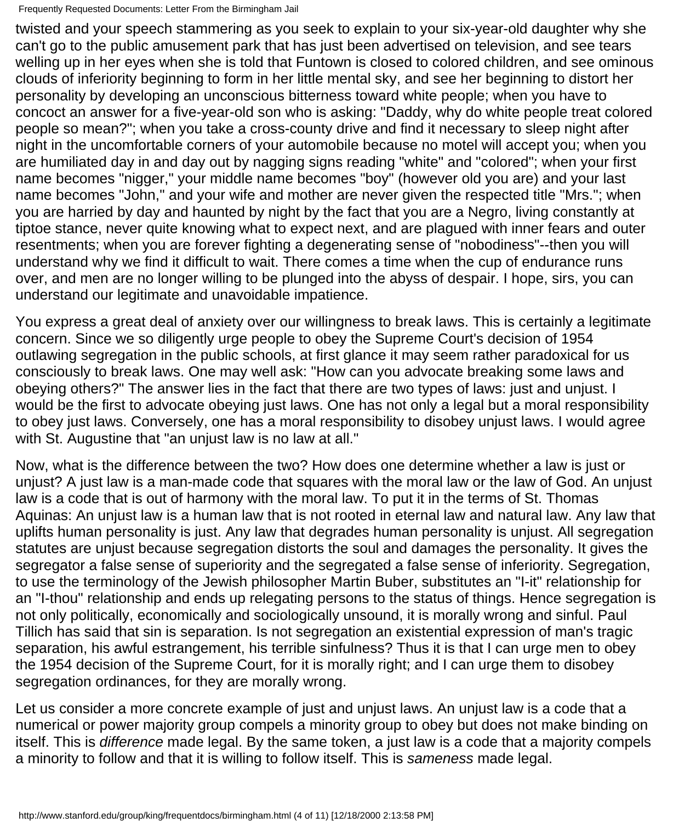twisted and your speech stammering as you seek to explain to your six-year-old daughter why she can't go to the public amusement park that has just been advertised on television, and see tears welling up in her eyes when she is told that Funtown is closed to colored children, and see ominous clouds of inferiority beginning to form in her little mental sky, and see her beginning to distort her personality by developing an unconscious bitterness toward white people; when you have to concoct an answer for a five-year-old son who is asking: "Daddy, why do white people treat colored people so mean?"; when you take a cross-county drive and find it necessary to sleep night after night in the uncomfortable corners of your automobile because no motel will accept you; when you are humiliated day in and day out by nagging signs reading "white" and "colored"; when your first name becomes "nigger," your middle name becomes "boy" (however old you are) and your last name becomes "John," and your wife and mother are never given the respected title "Mrs."; when you are harried by day and haunted by night by the fact that you are a Negro, living constantly at tiptoe stance, never quite knowing what to expect next, and are plagued with inner fears and outer resentments; when you are forever fighting a degenerating sense of "nobodiness"--then you will understand why we find it difficult to wait. There comes a time when the cup of endurance runs over, and men are no longer willing to be plunged into the abyss of despair. I hope, sirs, you can understand our legitimate and unavoidable impatience.

You express a great deal of anxiety over our willingness to break laws. This is certainly a legitimate concern. Since we so diligently urge people to obey the Supreme Court's decision of 1954 outlawing segregation in the public schools, at first glance it may seem rather paradoxical for us consciously to break laws. One may well ask: "How can you advocate breaking some laws and obeying others?" The answer lies in the fact that there are two types of laws: just and unjust. I would be the first to advocate obeying just laws. One has not only a legal but a moral responsibility to obey just laws. Conversely, one has a moral responsibility to disobey unjust laws. I would agree with St. Augustine that "an unjust law is no law at all."

Now, what is the difference between the two? How does one determine whether a law is just or unjust? A just law is a man-made code that squares with the moral law or the law of God. An unjust law is a code that is out of harmony with the moral law. To put it in the terms of St. Thomas Aquinas: An unjust law is a human law that is not rooted in eternal law and natural law. Any law that uplifts human personality is just. Any law that degrades human personality is unjust. All segregation statutes are unjust because segregation distorts the soul and damages the personality. It gives the segregator a false sense of superiority and the segregated a false sense of inferiority. Segregation, to use the terminology of the Jewish philosopher Martin Buber, substitutes an "I-it" relationship for an "I-thou" relationship and ends up relegating persons to the status of things. Hence segregation is not only politically, economically and sociologically unsound, it is morally wrong and sinful. Paul Tillich has said that sin is separation. Is not segregation an existential expression of man's tragic separation, his awful estrangement, his terrible sinfulness? Thus it is that I can urge men to obey the 1954 decision of the Supreme Court, for it is morally right; and I can urge them to disobey segregation ordinances, for they are morally wrong.

Let us consider a more concrete example of just and unjust laws. An unjust law is a code that a numerical or power majority group compels a minority group to obey but does not make binding on itself. This is *difference* made legal. By the same token, a just law is a code that a majority compels a minority to follow and that it is willing to follow itself. This is *sameness* made legal.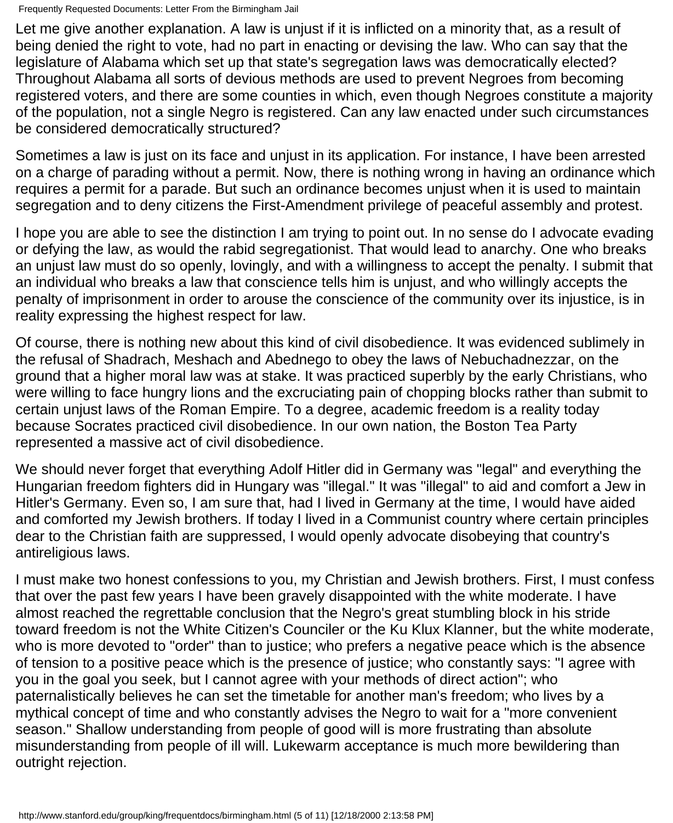Let me give another explanation. A law is unjust if it is inflicted on a minority that, as a result of being denied the right to vote, had no part in enacting or devising the law. Who can say that the legislature of Alabama which set up that state's segregation laws was democratically elected? Throughout Alabama all sorts of devious methods are used to prevent Negroes from becoming registered voters, and there are some counties in which, even though Negroes constitute a majority of the population, not a single Negro is registered. Can any law enacted under such circumstances be considered democratically structured?

Sometimes a law is just on its face and unjust in its application. For instance, I have been arrested on a charge of parading without a permit. Now, there is nothing wrong in having an ordinance which requires a permit for a parade. But such an ordinance becomes unjust when it is used to maintain segregation and to deny citizens the First-Amendment privilege of peaceful assembly and protest.

I hope you are able to see the distinction I am trying to point out. In no sense do I advocate evading or defying the law, as would the rabid segregationist. That would lead to anarchy. One who breaks an unjust law must do so openly, lovingly, and with a willingness to accept the penalty. I submit that an individual who breaks a law that conscience tells him is unjust, and who willingly accepts the penalty of imprisonment in order to arouse the conscience of the community over its injustice, is in reality expressing the highest respect for law.

Of course, there is nothing new about this kind of civil disobedience. It was evidenced sublimely in the refusal of Shadrach, Meshach and Abednego to obey the laws of Nebuchadnezzar, on the ground that a higher moral law was at stake. It was practiced superbly by the early Christians, who were willing to face hungry lions and the excruciating pain of chopping blocks rather than submit to certain unjust laws of the Roman Empire. To a degree, academic freedom is a reality today because Socrates practiced civil disobedience. In our own nation, the Boston Tea Party represented a massive act of civil disobedience.

We should never forget that everything Adolf Hitler did in Germany was "legal" and everything the Hungarian freedom fighters did in Hungary was "illegal." It was "illegal" to aid and comfort a Jew in Hitler's Germany. Even so, I am sure that, had I lived in Germany at the time, I would have aided and comforted my Jewish brothers. If today I lived in a Communist country where certain principles dear to the Christian faith are suppressed, I would openly advocate disobeying that country's antireligious laws.

I must make two honest confessions to you, my Christian and Jewish brothers. First, I must confess that over the past few years I have been gravely disappointed with the white moderate. I have almost reached the regrettable conclusion that the Negro's great stumbling block in his stride toward freedom is not the White Citizen's Counciler or the Ku Klux Klanner, but the white moderate, who is more devoted to "order" than to justice; who prefers a negative peace which is the absence of tension to a positive peace which is the presence of justice; who constantly says: "I agree with you in the goal you seek, but I cannot agree with your methods of direct action"; who paternalistically believes he can set the timetable for another man's freedom; who lives by a mythical concept of time and who constantly advises the Negro to wait for a "more convenient season." Shallow understanding from people of good will is more frustrating than absolute misunderstanding from people of ill will. Lukewarm acceptance is much more bewildering than outright rejection.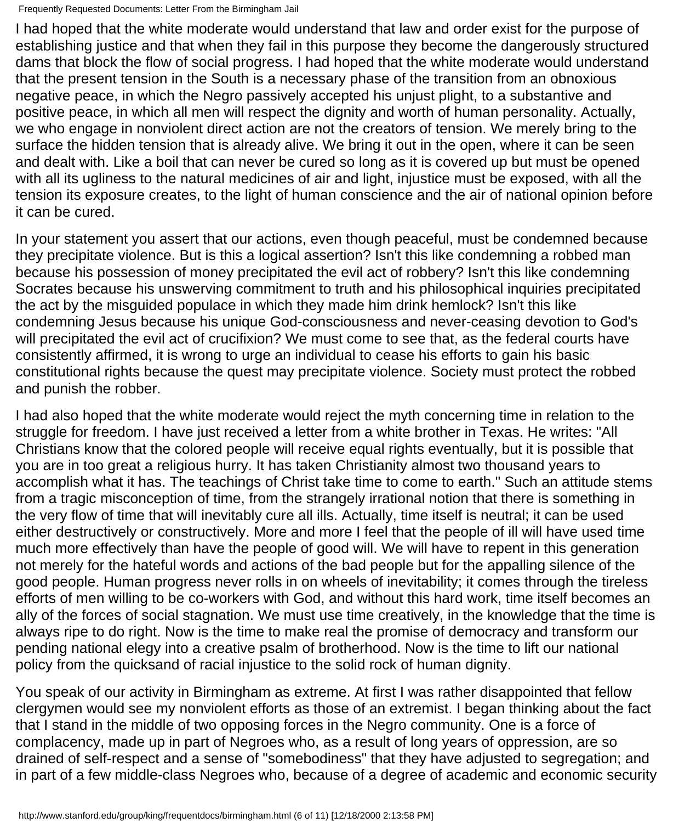Frequently Requested Documents: Letter From the Birmingham Jail

I had hoped that the white moderate would understand that law and order exist for the purpose of establishing justice and that when they fail in this purpose they become the dangerously structured dams that block the flow of social progress. I had hoped that the white moderate would understand that the present tension in the South is a necessary phase of the transition from an obnoxious negative peace, in which the Negro passively accepted his unjust plight, to a substantive and positive peace, in which all men will respect the dignity and worth of human personality. Actually, we who engage in nonviolent direct action are not the creators of tension. We merely bring to the surface the hidden tension that is already alive. We bring it out in the open, where it can be seen and dealt with. Like a boil that can never be cured so long as it is covered up but must be opened with all its ugliness to the natural medicines of air and light, injustice must be exposed, with all the tension its exposure creates, to the light of human conscience and the air of national opinion before it can be cured.

In your statement you assert that our actions, even though peaceful, must be condemned because they precipitate violence. But is this a logical assertion? Isn't this like condemning a robbed man because his possession of money precipitated the evil act of robbery? Isn't this like condemning Socrates because his unswerving commitment to truth and his philosophical inquiries precipitated the act by the misguided populace in which they made him drink hemlock? Isn't this like condemning Jesus because his unique God-consciousness and never-ceasing devotion to God's will precipitated the evil act of crucifixion? We must come to see that, as the federal courts have consistently affirmed, it is wrong to urge an individual to cease his efforts to gain his basic constitutional rights because the quest may precipitate violence. Society must protect the robbed and punish the robber.

I had also hoped that the white moderate would reject the myth concerning time in relation to the struggle for freedom. I have just received a letter from a white brother in Texas. He writes: "All Christians know that the colored people will receive equal rights eventually, but it is possible that you are in too great a religious hurry. It has taken Christianity almost two thousand years to accomplish what it has. The teachings of Christ take time to come to earth." Such an attitude stems from a tragic misconception of time, from the strangely irrational notion that there is something in the very flow of time that will inevitably cure all ills. Actually, time itself is neutral; it can be used either destructively or constructively. More and more I feel that the people of ill will have used time much more effectively than have the people of good will. We will have to repent in this generation not merely for the hateful words and actions of the bad people but for the appalling silence of the good people. Human progress never rolls in on wheels of inevitability; it comes through the tireless efforts of men willing to be co-workers with God, and without this hard work, time itself becomes an ally of the forces of social stagnation. We must use time creatively, in the knowledge that the time is always ripe to do right. Now is the time to make real the promise of democracy and transform our pending national elegy into a creative psalm of brotherhood. Now is the time to lift our national policy from the quicksand of racial injustice to the solid rock of human dignity.

You speak of our activity in Birmingham as extreme. At first I was rather disappointed that fellow clergymen would see my nonviolent efforts as those of an extremist. I began thinking about the fact that I stand in the middle of two opposing forces in the Negro community. One is a force of complacency, made up in part of Negroes who, as a result of long years of oppression, are so drained of self-respect and a sense of "somebodiness" that they have adjusted to segregation; and in part of a few middle-class Negroes who, because of a degree of academic and economic security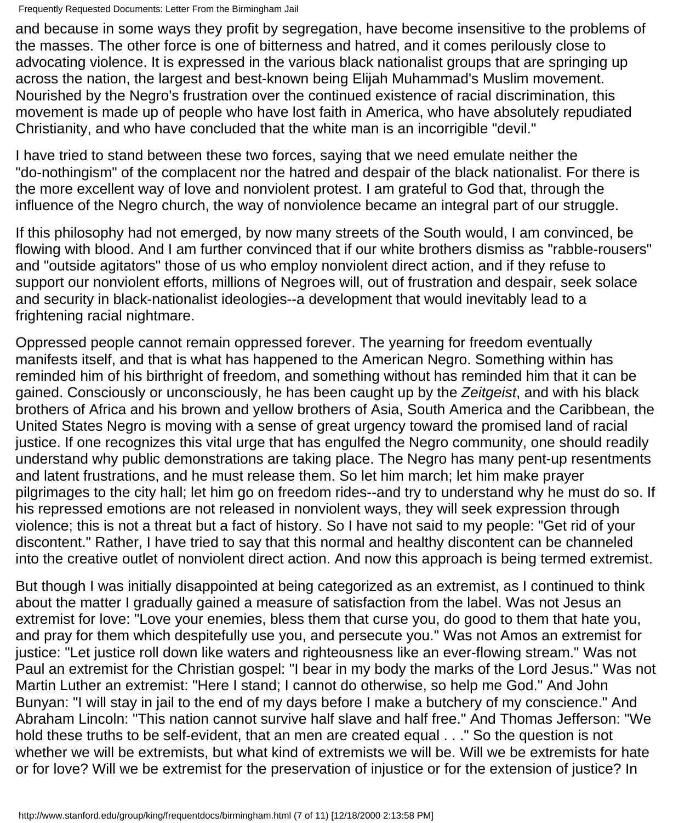and because in some ways they profit by segregation, have become insensitive to the problems of the masses. The other force is one of bitterness and hatred, and it comes perilously close to advocating violence. It is expressed in the various black nationalist groups that are springing up across the nation, the largest and best-known being Elijah Muhammad's Muslim movement. Nourished by the Negro's frustration over the continued existence of racial discrimination, this movement is made up of people who have lost faith in America, who have absolutely repudiated Christianity, and who have concluded that the white man is an incorrigible "devil."

I have tried to stand between these two forces, saying that we need emulate neither the "do-nothingism" of the complacent nor the hatred and despair of the black nationalist. For there is the more excellent way of love and nonviolent protest. I am grateful to God that, through the influence of the Negro church, the way of nonviolence became an integral part of our struggle.

If this philosophy had not emerged, by now many streets of the South would, I am convinced, be flowing with blood. And I am further convinced that if our white brothers dismiss as "rabble-rousers" and "outside agitators" those of us who employ nonviolent direct action, and if they refuse to support our nonviolent efforts, millions of Negroes will, out of frustration and despair, seek solace and security in black-nationalist ideologies--a development that would inevitably lead to a frightening racial nightmare.

Oppressed people cannot remain oppressed forever. The yearning for freedom eventually manifests itself, and that is what has happened to the American Negro. Something within has reminded him of his birthright of freedom, and something without has reminded him that it can be gained. Consciously or unconsciously, he has been caught up by the *Zeitgeist*, and with his black brothers of Africa and his brown and yellow brothers of Asia, South America and the Caribbean, the United States Negro is moving with a sense of great urgency toward the promised land of racial justice. If one recognizes this vital urge that has engulfed the Negro community, one should readily understand why public demonstrations are taking place. The Negro has many pent-up resentments and latent frustrations, and he must release them. So let him march; let him make prayer pilgrimages to the city hall; let him go on freedom rides--and try to understand why he must do so. If his repressed emotions are not released in nonviolent ways, they will seek expression through violence; this is not a threat but a fact of history. So I have not said to my people: "Get rid of your discontent." Rather, I have tried to say that this normal and healthy discontent can be channeled into the creative outlet of nonviolent direct action. And now this approach is being termed extremist.

But though I was initially disappointed at being categorized as an extremist, as I continued to think about the matter I gradually gained a measure of satisfaction from the label. Was not Jesus an extremist for love: "Love your enemies, bless them that curse you, do good to them that hate you, and pray for them which despitefully use you, and persecute you." Was not Amos an extremist for justice: "Let justice roll down like waters and righteousness like an ever-flowing stream." Was not Paul an extremist for the Christian gospel: "I bear in my body the marks of the Lord Jesus." Was not Martin Luther an extremist: "Here I stand; I cannot do otherwise, so help me God." And John Bunyan: "I will stay in jail to the end of my days before I make a butchery of my conscience." And Abraham Lincoln: "This nation cannot survive half slave and half free." And Thomas Jefferson: "We hold these truths to be self-evident, that an men are created equal . . ." So the question is not whether we will be extremists, but what kind of extremists we will be. Will we be extremists for hate or for love? Will we be extremist for the preservation of injustice or for the extension of justice? In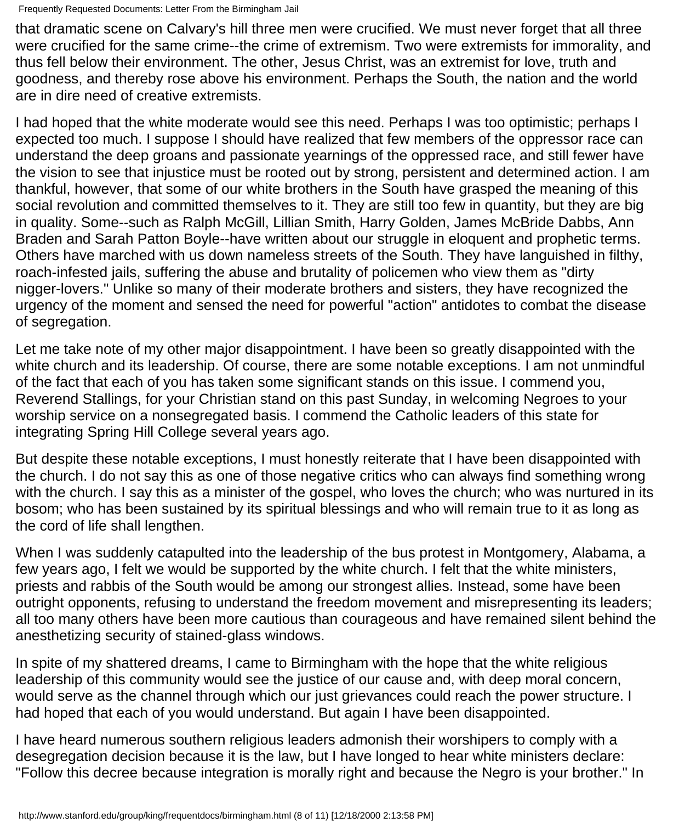Frequently Requested Documents: Letter From the Birmingham Jail

that dramatic scene on Calvary's hill three men were crucified. We must never forget that all three were crucified for the same crime--the crime of extremism. Two were extremists for immorality, and thus fell below their environment. The other, Jesus Christ, was an extremist for love, truth and goodness, and thereby rose above his environment. Perhaps the South, the nation and the world are in dire need of creative extremists.

I had hoped that the white moderate would see this need. Perhaps I was too optimistic; perhaps I expected too much. I suppose I should have realized that few members of the oppressor race can understand the deep groans and passionate yearnings of the oppressed race, and still fewer have the vision to see that injustice must be rooted out by strong, persistent and determined action. I am thankful, however, that some of our white brothers in the South have grasped the meaning of this social revolution and committed themselves to it. They are still too few in quantity, but they are big in quality. Some--such as Ralph McGill, Lillian Smith, Harry Golden, James McBride Dabbs, Ann Braden and Sarah Patton Boyle--have written about our struggle in eloquent and prophetic terms. Others have marched with us down nameless streets of the South. They have languished in filthy, roach-infested jails, suffering the abuse and brutality of policemen who view them as "dirty nigger-lovers." Unlike so many of their moderate brothers and sisters, they have recognized the urgency of the moment and sensed the need for powerful "action" antidotes to combat the disease of segregation.

Let me take note of my other major disappointment. I have been so greatly disappointed with the white church and its leadership. Of course, there are some notable exceptions. I am not unmindful of the fact that each of you has taken some significant stands on this issue. I commend you, Reverend Stallings, for your Christian stand on this past Sunday, in welcoming Negroes to your worship service on a nonsegregated basis. I commend the Catholic leaders of this state for integrating Spring Hill College several years ago.

But despite these notable exceptions, I must honestly reiterate that I have been disappointed with the church. I do not say this as one of those negative critics who can always find something wrong with the church. I say this as a minister of the gospel, who loves the church; who was nurtured in its bosom; who has been sustained by its spiritual blessings and who will remain true to it as long as the cord of life shall lengthen.

When I was suddenly catapulted into the leadership of the bus protest in Montgomery, Alabama, a few years ago, I felt we would be supported by the white church. I felt that the white ministers, priests and rabbis of the South would be among our strongest allies. Instead, some have been outright opponents, refusing to understand the freedom movement and misrepresenting its leaders; all too many others have been more cautious than courageous and have remained silent behind the anesthetizing security of stained-glass windows.

In spite of my shattered dreams, I came to Birmingham with the hope that the white religious leadership of this community would see the justice of our cause and, with deep moral concern, would serve as the channel through which our just grievances could reach the power structure. I had hoped that each of you would understand. But again I have been disappointed.

I have heard numerous southern religious leaders admonish their worshipers to comply with a desegregation decision because it is the law, but I have longed to hear white ministers declare: "Follow this decree because integration is morally right and because the Negro is your brother." In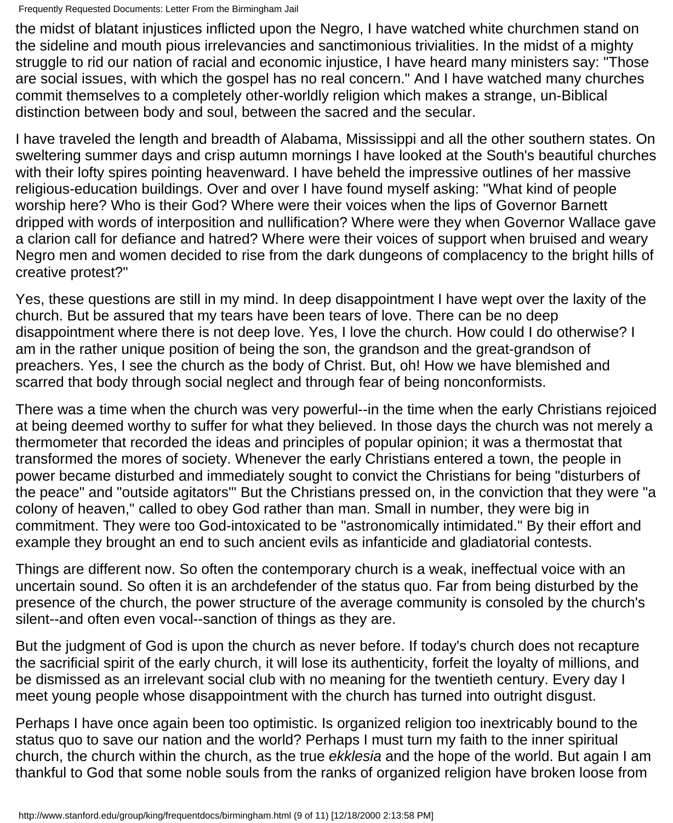Frequently Requested Documents: Letter From the Birmingham Jail

the midst of blatant injustices inflicted upon the Negro, I have watched white churchmen stand on the sideline and mouth pious irrelevancies and sanctimonious trivialities. In the midst of a mighty struggle to rid our nation of racial and economic injustice, I have heard many ministers say: "Those are social issues, with which the gospel has no real concern." And I have watched many churches commit themselves to a completely other-worldly religion which makes a strange, un-Biblical distinction between body and soul, between the sacred and the secular.

I have traveled the length and breadth of Alabama, Mississippi and all the other southern states. On sweltering summer days and crisp autumn mornings I have looked at the South's beautiful churches with their lofty spires pointing heavenward. I have beheld the impressive outlines of her massive religious-education buildings. Over and over I have found myself asking: "What kind of people worship here? Who is their God? Where were their voices when the lips of Governor Barnett dripped with words of interposition and nullification? Where were they when Governor Wallace gave a clarion call for defiance and hatred? Where were their voices of support when bruised and weary Negro men and women decided to rise from the dark dungeons of complacency to the bright hills of creative protest?"

Yes, these questions are still in my mind. In deep disappointment I have wept over the laxity of the church. But be assured that my tears have been tears of love. There can be no deep disappointment where there is not deep love. Yes, I love the church. How could I do otherwise? I am in the rather unique position of being the son, the grandson and the great-grandson of preachers. Yes, I see the church as the body of Christ. But, oh! How we have blemished and scarred that body through social neglect and through fear of being nonconformists.

There was a time when the church was very powerful--in the time when the early Christians rejoiced at being deemed worthy to suffer for what they believed. In those days the church was not merely a thermometer that recorded the ideas and principles of popular opinion; it was a thermostat that transformed the mores of society. Whenever the early Christians entered a town, the people in power became disturbed and immediately sought to convict the Christians for being "disturbers of the peace" and "outside agitators"' But the Christians pressed on, in the conviction that they were "a colony of heaven," called to obey God rather than man. Small in number, they were big in commitment. They were too God-intoxicated to be "astronomically intimidated." By their effort and example they brought an end to such ancient evils as infanticide and gladiatorial contests.

Things are different now. So often the contemporary church is a weak, ineffectual voice with an uncertain sound. So often it is an archdefender of the status quo. Far from being disturbed by the presence of the church, the power structure of the average community is consoled by the church's silent--and often even vocal--sanction of things as they are.

But the judgment of God is upon the church as never before. If today's church does not recapture the sacrificial spirit of the early church, it will lose its authenticity, forfeit the loyalty of millions, and be dismissed as an irrelevant social club with no meaning for the twentieth century. Every day I meet young people whose disappointment with the church has turned into outright disgust.

Perhaps I have once again been too optimistic. Is organized religion too inextricably bound to the status quo to save our nation and the world? Perhaps I must turn my faith to the inner spiritual church, the church within the church, as the true *ekklesia* and the hope of the world. But again I am thankful to God that some noble souls from the ranks of organized religion have broken loose from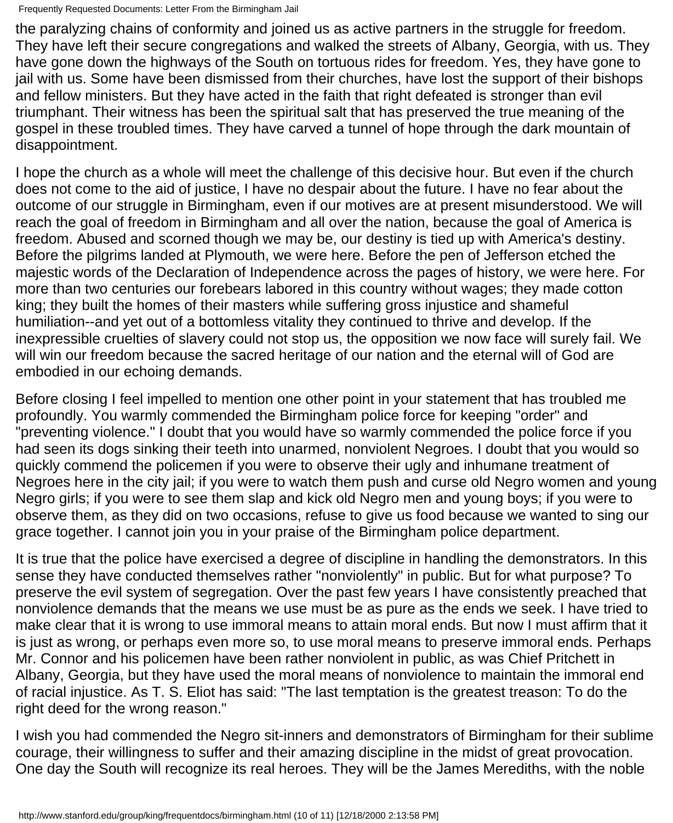the paralyzing chains of conformity and joined us as active partners in the struggle for freedom. They have left their secure congregations and walked the streets of Albany, Georgia, with us. They have gone down the highways of the South on tortuous rides for freedom. Yes, they have gone to jail with us. Some have been dismissed from their churches, have lost the support of their bishops and fellow ministers. But they have acted in the faith that right defeated is stronger than evil triumphant. Their witness has been the spiritual salt that has preserved the true meaning of the gospel in these troubled times. They have carved a tunnel of hope through the dark mountain of disappointment.

I hope the church as a whole will meet the challenge of this decisive hour. But even if the church does not come to the aid of justice, I have no despair about the future. I have no fear about the outcome of our struggle in Birmingham, even if our motives are at present misunderstood. We will reach the goal of freedom in Birmingham and all over the nation, because the goal of America is freedom. Abused and scorned though we may be, our destiny is tied up with America's destiny. Before the pilgrims landed at Plymouth, we were here. Before the pen of Jefferson etched the majestic words of the Declaration of Independence across the pages of history, we were here. For more than two centuries our forebears labored in this country without wages; they made cotton king; they built the homes of their masters while suffering gross injustice and shameful humiliation--and yet out of a bottomless vitality they continued to thrive and develop. If the inexpressible cruelties of slavery could not stop us, the opposition we now face will surely fail. We will win our freedom because the sacred heritage of our nation and the eternal will of God are embodied in our echoing demands.

Before closing I feel impelled to mention one other point in your statement that has troubled me profoundly. You warmly commended the Birmingham police force for keeping "order" and "preventing violence." I doubt that you would have so warmly commended the police force if you had seen its dogs sinking their teeth into unarmed, nonviolent Negroes. I doubt that you would so quickly commend the policemen if you were to observe their ugly and inhumane treatment of Negroes here in the city jail; if you were to watch them push and curse old Negro women and young Negro girls; if you were to see them slap and kick old Negro men and young boys; if you were to observe them, as they did on two occasions, refuse to give us food because we wanted to sing our grace together. I cannot join you in your praise of the Birmingham police department.

It is true that the police have exercised a degree of discipline in handling the demonstrators. In this sense they have conducted themselves rather "nonviolently" in public. But for what purpose? To preserve the evil system of segregation. Over the past few years I have consistently preached that nonviolence demands that the means we use must be as pure as the ends we seek. I have tried to make clear that it is wrong to use immoral means to attain moral ends. But now I must affirm that it is just as wrong, or perhaps even more so, to use moral means to preserve immoral ends. Perhaps Mr. Connor and his policemen have been rather nonviolent in public, as was Chief Pritchett in Albany, Georgia, but they have used the moral means of nonviolence to maintain the immoral end of racial injustice. As T. S. Eliot has said: "The last temptation is the greatest treason: To do the right deed for the wrong reason."

I wish you had commended the Negro sit-inners and demonstrators of Birmingham for their sublime courage, their willingness to suffer and their amazing discipline in the midst of great provocation. One day the South will recognize its real heroes. They will be the James Merediths, with the noble